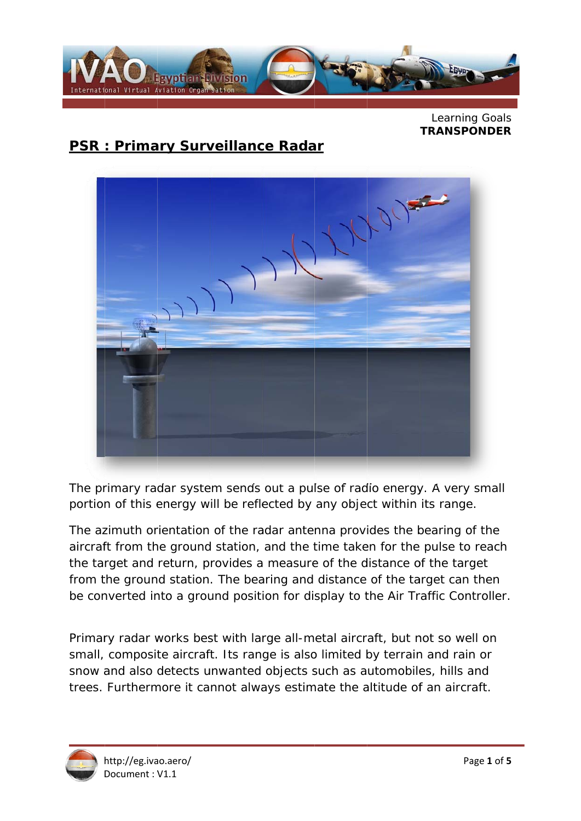

Learning Goals **TRANSPONDER** 

# **PSR: Primary Surveillance Radar**



The primary radar system sends out a pulse of radio energy. A very small portion of this energy will be reflected by any object within its range.

The azimuth orientation of the radar antenna provides the bearing of the aircraft from the ground station, and the time taken for the pulse to reach the target and return, provides a measure of the distance of the target from the ground station. The bearing and distance of the target can then be converted into a ground position for display to the Air Traffic Controller.

Primary radar works best with large all-metal aircraft, but not so well on small, composite aircraft. Its range is also limited by terrain and rain or snow and also detects unwanted objects such as automobiles, hills and trees. Furthermore it cannot always estimate the altitude of an aircraft.

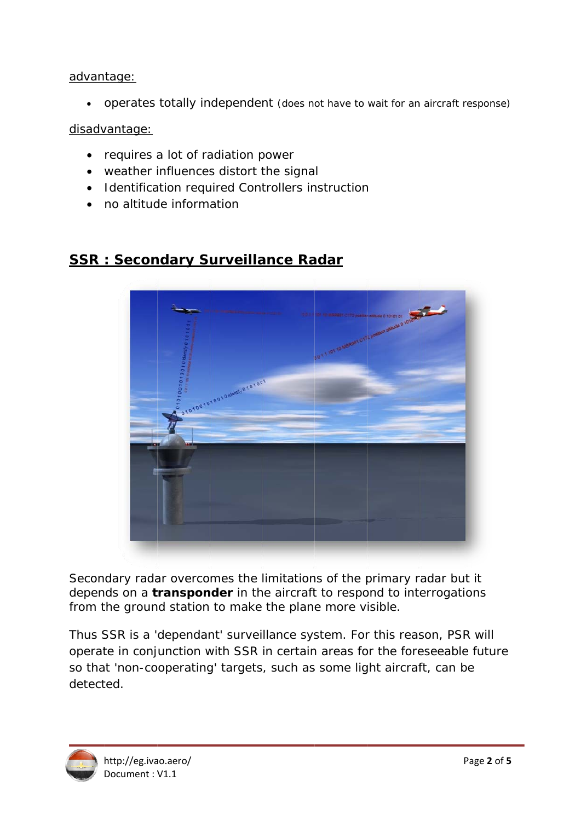#### advantage:

• operates totally independent (does not have to wait for an aircraft response)

### disadvantage:

- requires a lot of radiation power
- weather influences distort the signal
- Identification required Controllers instruction
- no altitude information

## **SSR: Secondary Surveillance Radar**



Secondary radar overcomes the limitations of the primary radar but it depends on a **transponder** in the aircraft to respond to interrogations from the ground station to make the plane more visible.

Thus SSR is a 'dependant' surveillance system. For this reason, PSR will operate in conjunction with SSR in certain areas for the foreseeable future so that 'non-cooperating' targets, such as some light aircraft, can be detected.

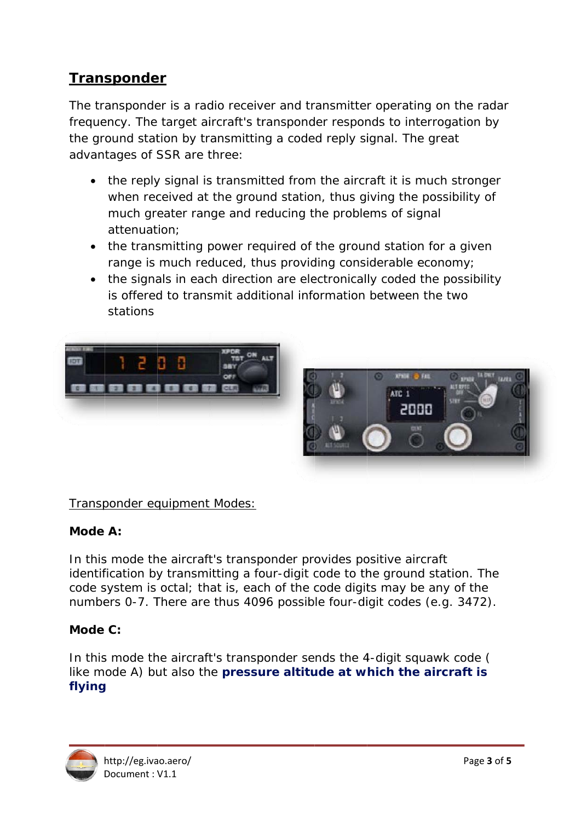# **Transponder**

The transponder is a radio receiver and transmitter operating on the radar frequency. The target aircraft's transponder responds to interrogation by the ground station by transmitting a coded reply signal. The great advantages of SSR are three:

- the reply signal is transmitted from the aircraft it is much stronger when received at the ground station, thus giving the possibility of much greater range and reducing the problems of signal attenuation:
- the transmitting power required of the ground station for a given range is much reduced, thus providing considerable economy;
- the signals in each direction are electronically coded the possibility is offered to transmit additional information between the two stations





### Transponder equipment Modes:

#### Mode A:

In this mode the aircraft's transponder provides positive aircraft identification by transmitting a four-digit code to the ground station. The code system is octal; that is, each of the code digits may be any of the numbers 0-7. There are thus 4096 possible four-digit codes (e.g. 3472).

### Mode  $C$ :

In this mode the aircraft's transponder sends the 4-digit squawk code ( like mode A) but also the pressure altitude at which the aircraft is flying

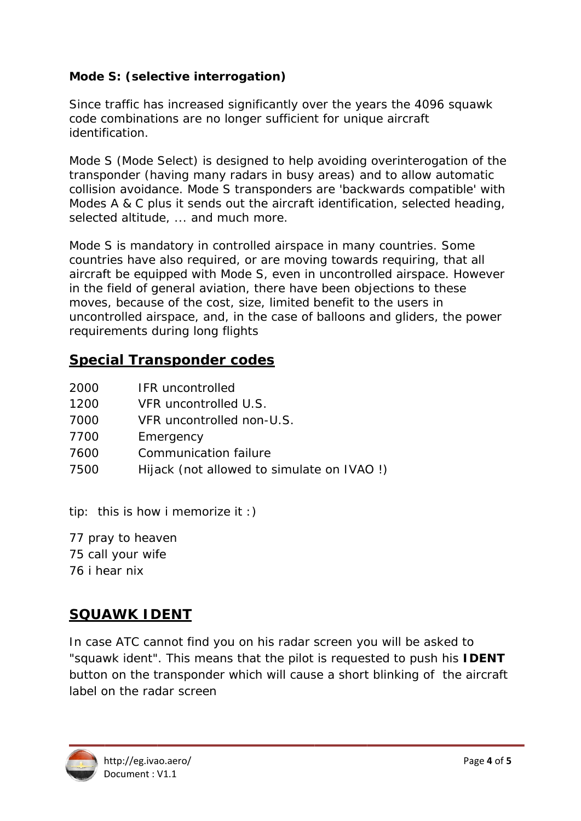## Mode S: (selective interrogation)

Since traffic has increased significantly over the years the 4096 squawk code combinations are no longer sufficient for unique aircraft identification.

Mode S (Mode Select) is designed to help avoiding overinterogation of the transponder (having many radars in busy areas) and to allow automatic collision avoidance. Mode S transponders are 'backwards compatible' with Modes A & C plus it sends out the aircraft identification, selected heading, selected altitude, ... and much more.

Mode S is mandatory in controlled airspace in many countries. Some countries have also required, or are moving towards requiring, that all aircraft be equipped with Mode S, even in uncontrolled airspace. However in the field of general aviation, there have been objections to these moves, because of the cost, size, limited benefit to the users in uncontrolled airspace, and, in the case of balloons and gliders, the power requirements during long flights

## **Special Transponder codes**

| 2000<br><b>IFR</b> uncontrolled |  |
|---------------------------------|--|
|---------------------------------|--|

- VFR uncontrolled U.S.  $1200$
- 7000 VFR uncontrolled non-U.S.
- 7700 Emergency
- 7600 **Communication failure**
- 7500 Hijack (not allowed to simulate on IVAO!)

tip: this is how i memorize it :)

77 pray to heaven 75 call your wife 76 i hear nix

# **SQUAWK IDENT**

In case ATC cannot find you on his radar screen you will be asked to "squawk ident". This means that the pilot is requested to push his **IDENT** button on the transponder which will cause a short blinking of the aircraft label on the radar screen